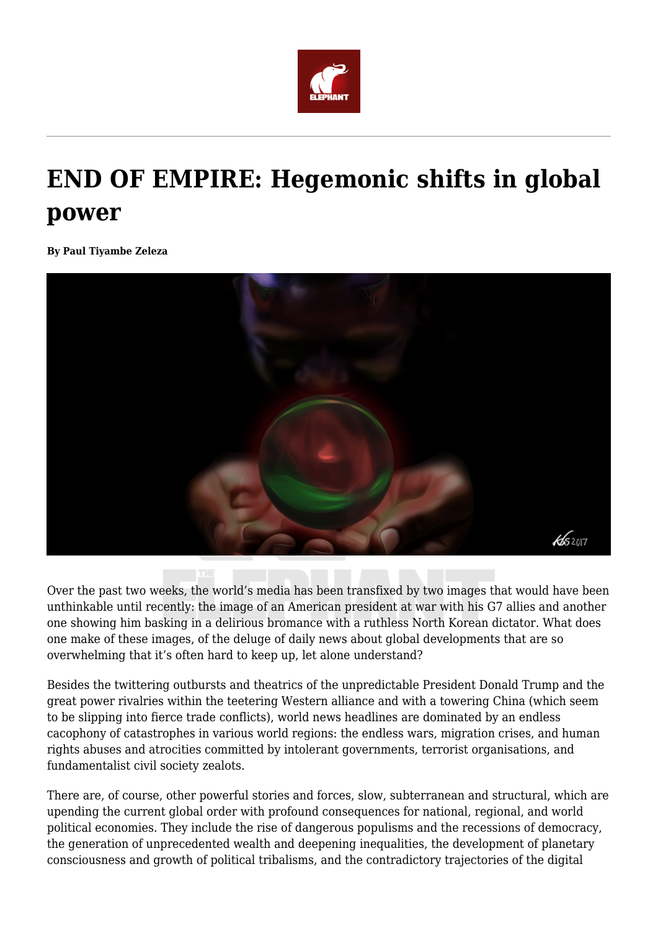

## **END OF EMPIRE: Hegemonic shifts in global power**

**By Paul Tiyambe Zeleza**



Over the past two weeks, the world's media has been transfixed by two images that would have been unthinkable until recently: the image of an American president at war with his G7 allies and another one showing him basking in a delirious bromance with a ruthless North Korean dictator. What does one make of these images, of the deluge of daily news about global developments that are so overwhelming that it's often hard to keep up, let alone understand?

Besides the twittering outbursts and theatrics of the unpredictable President Donald Trump and the great power rivalries within the teetering Western alliance and with a towering China (which seem to be slipping into fierce trade conflicts), world news headlines are dominated by an endless cacophony of catastrophes in various world regions: the endless wars, migration crises, and human rights abuses and atrocities committed by intolerant governments, terrorist organisations, and fundamentalist civil society zealots.

There are, of course, other powerful stories and forces, slow, subterranean and structural, which are upending the current global order with profound consequences for national, regional, and world political economies. They include the rise of dangerous populisms and the recessions of democracy, the generation of unprecedented wealth and deepening inequalities, the development of planetary consciousness and growth of political tribalisms, and the contradictory trajectories of the digital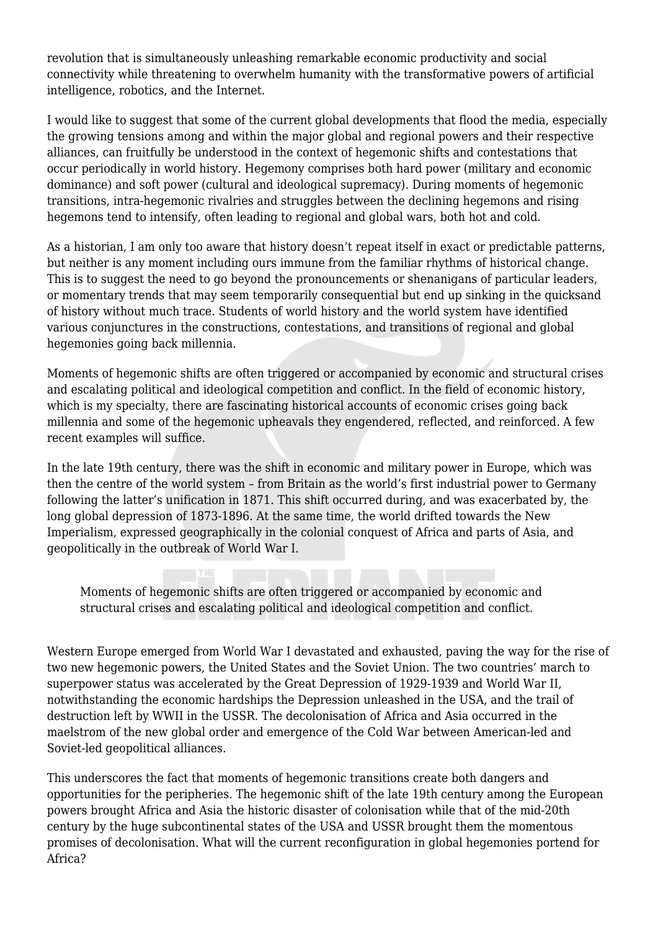revolution that is simultaneously unleashing remarkable economic productivity and social connectivity while threatening to overwhelm humanity with the transformative powers of artificial intelligence, robotics, and the Internet.

I would like to suggest that some of the current global developments that flood the media, especially the growing tensions among and within the major global and regional powers and their respective alliances, can fruitfully be understood in the context of hegemonic shifts and contestations that occur periodically in world history. Hegemony comprises both hard power (military and economic dominance) and soft power (cultural and ideological supremacy). During moments of hegemonic transitions, intra-hegemonic rivalries and struggles between the declining hegemons and rising hegemons tend to intensify, often leading to regional and global wars, both hot and cold.

As a historian, I am only too aware that history doesn't repeat itself in exact or predictable patterns, but neither is any moment including ours immune from the familiar rhythms of historical change. This is to suggest the need to go beyond the pronouncements or shenanigans of particular leaders, or momentary trends that may seem temporarily consequential but end up sinking in the quicksand of history without much trace. Students of world history and the world system have identified various conjunctures in the constructions, contestations, and transitions of regional and global hegemonies going back millennia.

Moments of hegemonic shifts are often triggered or accompanied by economic and structural crises and escalating political and ideological competition and conflict. In the field of economic history, which is my specialty, there are fascinating historical accounts of economic crises going back millennia and some of the hegemonic upheavals they engendered, reflected, and reinforced. A few recent examples will suffice.

In the late 19th century, there was the shift in economic and military power in Europe, which was then the centre of the world system – from Britain as the world's first industrial power to Germany following the latter's unification in 1871. This shift occurred during, and was exacerbated by, the long global depression of 1873-1896. At the same time, the world drifted towards the New Imperialism, expressed geographically in the colonial conquest of Africa and parts of Asia, and geopolitically in the outbreak of World War I.

Moments of hegemonic shifts are often triggered or accompanied by economic and structural crises and escalating political and ideological competition and conflict.

Western Europe emerged from World War I devastated and exhausted, paving the way for the rise of two new hegemonic powers, the United States and the Soviet Union. The two countries' march to superpower status was accelerated by the Great Depression of 1929-1939 and World War II, notwithstanding the economic hardships the Depression unleashed in the USA, and the trail of destruction left by WWII in the USSR. The decolonisation of Africa and Asia occurred in the maelstrom of the new global order and emergence of the Cold War between American-led and Soviet-led geopolitical alliances.

This underscores the fact that moments of hegemonic transitions create both dangers and opportunities for the peripheries. The hegemonic shift of the late 19th century among the European powers brought Africa and Asia the historic disaster of colonisation while that of the mid-20th century by the huge subcontinental states of the USA and USSR brought them the momentous promises of decolonisation. What will the current reconfiguration in global hegemonies portend for Africa?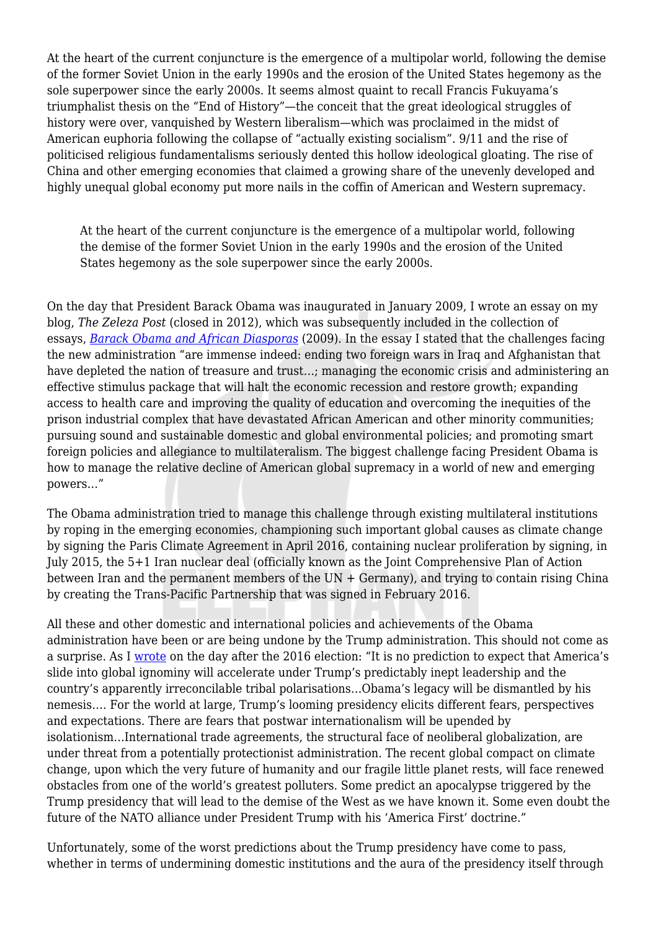At the heart of the current conjuncture is the emergence of a multipolar world, following the demise of the former Soviet Union in the early 1990s and the erosion of the United States hegemony as the sole superpower since the early 2000s. It seems almost quaint to recall Francis Fukuyama's triumphalist thesis on the "End of History"—the conceit that the great ideological struggles of history were over, vanquished by Western liberalism—which was proclaimed in the midst of American euphoria following the collapse of "actually existing socialism". 9/11 and the rise of politicised religious fundamentalisms seriously dented this hollow ideological gloating. The rise of China and other emerging economies that claimed a growing share of the unevenly developed and highly unequal global economy put more nails in the coffin of American and Western supremacy.

At the heart of the current conjuncture is the emergence of a multipolar world, following the demise of the former Soviet Union in the early 1990s and the erosion of the United States hegemony as the sole superpower since the early 2000s.

On the day that President Barack Obama was inaugurated in January 2009, I wrote an essay on my blog, *The Zeleza Post* (closed in 2012), which was subsequently included in the collection of essays, *[Barack Obama and African Diasporas](https://www.amazon.com/Barack-Obama-African-Diasporas-Dissensions-ebook/dp/B0057UDJBA/ref=mt_kindle?_encoding=UTF8&me=&qid=)* (2009). In the essay I stated that the challenges facing the new administration "are immense indeed: ending two foreign wars in Iraq and Afghanistan that have depleted the nation of treasure and trust…; managing the economic crisis and administering an effective stimulus package that will halt the economic recession and restore growth; expanding access to health care and improving the quality of education and overcoming the inequities of the prison industrial complex that have devastated African American and other minority communities; pursuing sound and sustainable domestic and global environmental policies; and promoting smart foreign policies and allegiance to multilateralism. The biggest challenge facing President Obama is how to manage the relative decline of American global supremacy in a world of new and emerging powers…"

The Obama administration tried to manage this challenge through existing multilateral institutions by roping in the emerging economies, championing such important global causes as climate change by signing the Paris Climate Agreement in April 2016, containing nuclear proliferation by signing, in July 2015, the 5+1 Iran nuclear deal (officially known as the Joint Comprehensive Plan of Action between Iran and the permanent members of the  $UN + Germany$ , and trying to contain rising China by creating the Trans-Pacific Partnership that was signed in February 2016.

All these and other domestic and international policies and achievements of the Obama administration have been or are being undone by the Trump administration. This should not come as a surprise. As I [wrote](https://www.linkedin.com/pulse/tragedy-farce-trumps-america-paul-tiyambe-zeleza/) on the day after the 2016 election: "It is no prediction to expect that America's slide into global ignominy will accelerate under Trump's predictably inept leadership and the country's apparently irreconcilable tribal polarisations…Obama's legacy will be dismantled by his nemesis…. For the world at large, Trump's looming presidency elicits different fears, perspectives and expectations. There are fears that postwar internationalism will be upended by isolationism…International trade agreements, the structural face of neoliberal globalization, are under threat from a potentially protectionist administration. The recent global compact on climate change, upon which the very future of humanity and our fragile little planet rests, will face renewed obstacles from one of the world's greatest polluters. Some predict an apocalypse triggered by the Trump presidency that will lead to the demise of the West as we have known it. Some even doubt the future of the NATO alliance under President Trump with his 'America First' doctrine."

Unfortunately, some of the worst predictions about the Trump presidency have come to pass, whether in terms of undermining domestic institutions and the aura of the presidency itself through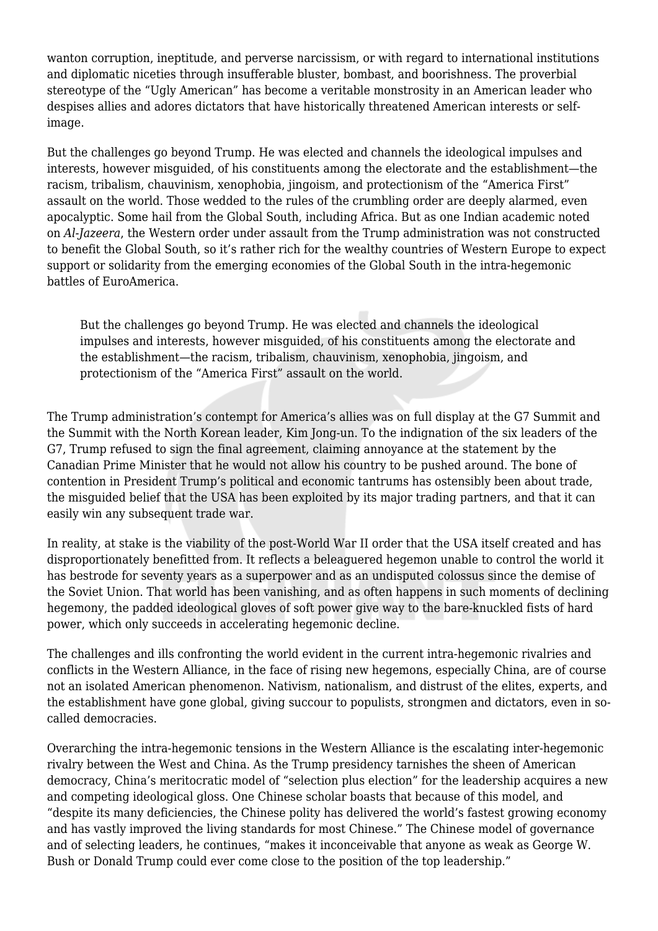wanton corruption, ineptitude, and perverse narcissism, or with regard to international institutions and diplomatic niceties through insufferable bluster, bombast, and boorishness. The proverbial stereotype of the "Ugly American" has become a veritable monstrosity in an American leader who despises allies and adores dictators that have historically threatened American interests or selfimage.

But the challenges go beyond Trump. He was elected and channels the ideological impulses and interests, however misguided, of his constituents among the electorate and the establishment—the racism, tribalism, chauvinism, xenophobia, jingoism, and protectionism of the "America First" assault on the world. Those wedded to the rules of the crumbling order are deeply alarmed, even apocalyptic. Some hail from the Global South, including Africa. But as one Indian academic noted on *Al-Jazeera*, the Western order under assault from the Trump administration was not constructed to benefit the Global South, so it's rather rich for the wealthy countries of Western Europe to expect support or solidarity from the emerging economies of the Global South in the intra-hegemonic battles of EuroAmerica.

But the challenges go beyond Trump. He was elected and channels the ideological impulses and interests, however misguided, of his constituents among the electorate and the establishment—the racism, tribalism, chauvinism, xenophobia, jingoism, and protectionism of the "America First" assault on the world.

The Trump administration's contempt for America's allies was on full display at the G7 Summit and the Summit with the North Korean leader, Kim Jong-un. To the indignation of the six leaders of the G7, Trump refused to sign the final agreement, claiming annoyance at the statement by the Canadian Prime Minister that he would not allow his country to be pushed around. The bone of contention in President Trump's political and economic tantrums has ostensibly been about trade, the misguided belief that the USA has been exploited by its major trading partners, and that it can easily win any subsequent trade war.

In reality, at stake is the viability of the post-World War II order that the USA itself created and has disproportionately benefitted from. It reflects a beleaguered hegemon unable to control the world it has bestrode for seventy years as a superpower and as an undisputed colossus since the demise of the Soviet Union. That world has been vanishing, and as often happens in such moments of declining hegemony, the padded ideological gloves of soft power give way to the bare-knuckled fists of hard power, which only succeeds in accelerating hegemonic decline.

The challenges and ills confronting the world evident in the current intra-hegemonic rivalries and conflicts in the Western Alliance, in the face of rising new hegemons, especially China, are of course not an isolated American phenomenon. Nativism, nationalism, and distrust of the elites, experts, and the establishment have gone global, giving succour to populists, strongmen and dictators, even in socalled democracies.

Overarching the intra-hegemonic tensions in the Western Alliance is the escalating inter-hegemonic rivalry between the West and China. As the Trump presidency tarnishes the sheen of American democracy, China's meritocratic model of "selection plus election" for the leadership acquires a new and competing ideological gloss. One Chinese scholar boasts that because of this model, and "despite its many deficiencies, the Chinese polity has delivered the world's fastest growing economy and has vastly improved the living standards for most Chinese." The Chinese model of governance and of selecting leaders, he continues, "makes it inconceivable that anyone as weak as George W. Bush or Donald Trump could ever come close to the position of the top leadership."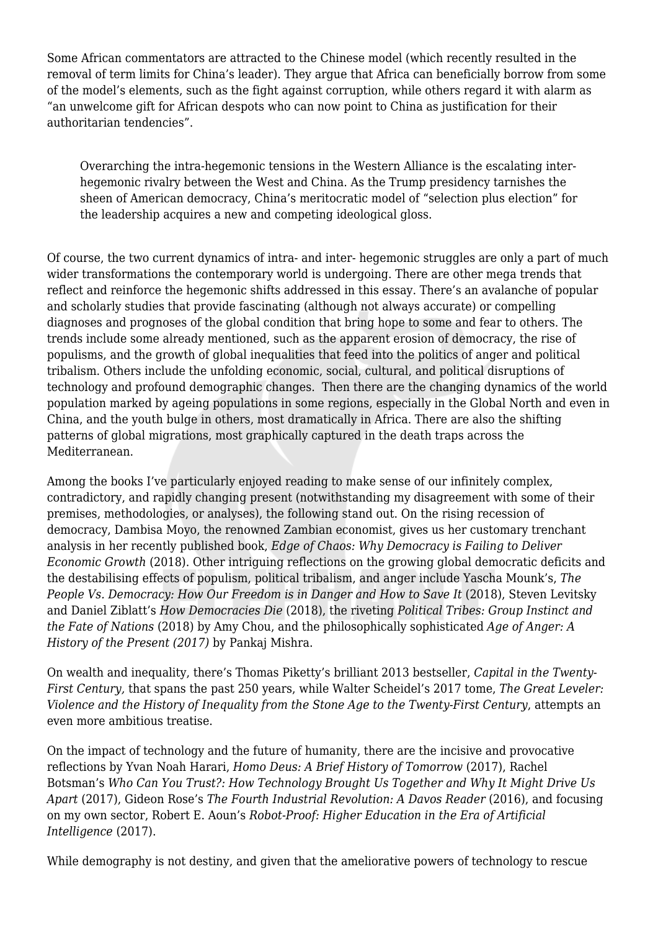Some African commentators are attracted to the Chinese model (which recently resulted in the removal of term limits for China's leader). They argue that Africa can beneficially borrow from some of the model's elements, such as the fight against corruption, while others regard it with alarm as "an unwelcome gift for African despots who can now point to China as justification for their authoritarian tendencies".

Overarching the intra-hegemonic tensions in the Western Alliance is the escalating interhegemonic rivalry between the West and China. As the Trump presidency tarnishes the sheen of American democracy, China's meritocratic model of "selection plus election" for the leadership acquires a new and competing ideological gloss.

Of course, the two current dynamics of intra- and inter- hegemonic struggles are only a part of much wider transformations the contemporary world is undergoing. There are other mega trends that reflect and reinforce the hegemonic shifts addressed in this essay. There's an avalanche of popular and scholarly studies that provide fascinating (although not always accurate) or compelling diagnoses and prognoses of the global condition that bring hope to some and fear to others. The trends include some already mentioned, such as the apparent erosion of democracy, the rise of populisms, and the growth of global inequalities that feed into the politics of anger and political tribalism. Others include the unfolding economic, social, cultural, and political disruptions of technology and profound demographic changes. Then there are the changing dynamics of the world population marked by ageing populations in some regions, especially in the Global North and even in China, and the youth bulge in others, most dramatically in Africa. There are also the shifting patterns of global migrations, most graphically captured in the death traps across the Mediterranean.

Among the books I've particularly enjoyed reading to make sense of our infinitely complex, contradictory, and rapidly changing present (notwithstanding my disagreement with some of their premises, methodologies, or analyses), the following stand out. On the rising recession of democracy, Dambisa Moyo, the renowned Zambian economist, gives us her customary trenchant analysis in her recently published book, *Edge of Chaos: Why Democracy is Failing to Deliver Economic Growth* (2018). Other intriguing reflections on the growing global democratic deficits and the destabilising effects of populism, political tribalism, and anger include Yascha Mounk's, *The People Vs. Democracy: How Our Freedom is in Danger and How to Save It (2018), Steven Levitsky* and Daniel Ziblatt's *How Democracies Die* (2018), the riveting *Political Tribes: Group Instinct and the Fate of Nations* (2018) by Amy Chou, and the philosophically sophisticated *Age of Anger: A History of the Present (2017)* by Pankaj Mishra.

On wealth and inequality, there's Thomas Piketty's brilliant 2013 bestseller, *Capital in the Twenty-First Century,* that spans the past 250 years, while Walter Scheidel's 2017 tome, *The Great Leveler: Violence and the History of Inequality from the Stone Age to the Twenty-First Century*, attempts an even more ambitious treatise.

On the impact of technology and the future of humanity, there are the incisive and provocative reflections by Yvan Noah Harari, *Homo Deus: A Brief History of Tomorrow* (2017), Rachel Botsman's *Who Can You Trust?: How Technology Brought Us Together and Why It Might Drive Us Apart* (2017), Gideon Rose's *The Fourth Industrial Revolution: A Davos Reader* (2016), and focusing on my own sector, Robert E. Aoun's *Robot-Proof: Higher Education in the Era of Artificial Intelligence* (2017).

While demography is not destiny, and given that the ameliorative powers of technology to rescue